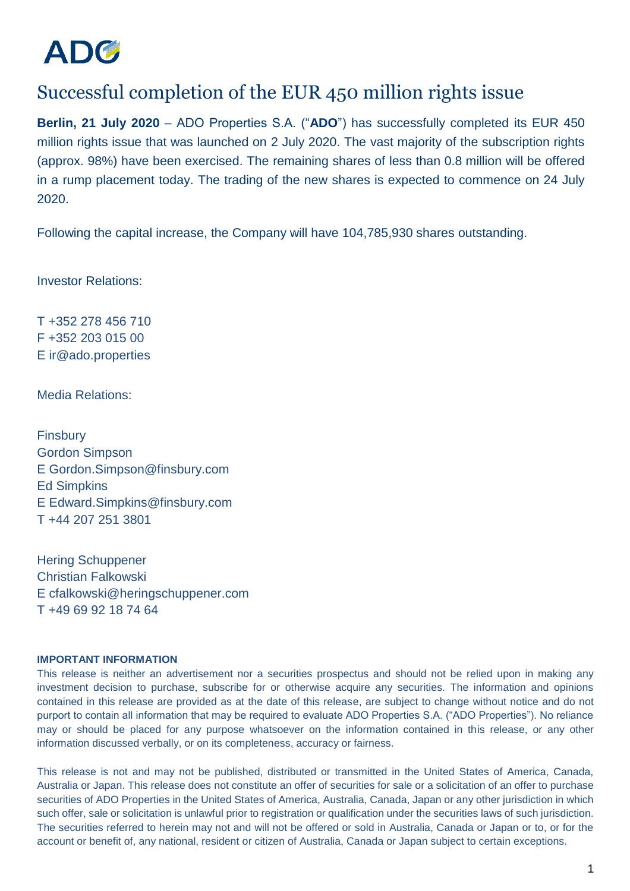

## Successful completion of the EUR 450 million rights issue

**Berlin, 21 July 2020** – ADO Properties S.A. ("**ADO**") has successfully completed its EUR 450 million rights issue that was launched on 2 July 2020. The vast majority of the subscription rights (approx. 98%) have been exercised. The remaining shares of less than 0.8 million will be offered in a rump placement today. The trading of the new shares is expected to commence on 24 July 2020.

Following the capital increase, the Company will have 104,785,930 shares outstanding.

Investor Relations:

T +352 278 456 710 F +352 203 015 00 E ir@ado.properties

Media Relations:

**Finsbury** Gordon Simpson E Gordon.Simpson@finsbury.com Ed Simpkins E Edward.Simpkins@finsbury.com T +44 207 251 3801

Hering Schuppener Christian Falkowski E cfalkowski@heringschuppener.com T +49 69 92 18 74 64

## **IMPORTANT INFORMATION**

This release is neither an advertisement nor a securities prospectus and should not be relied upon in making any investment decision to purchase, subscribe for or otherwise acquire any securities. The information and opinions contained in this release are provided as at the date of this release, are subject to change without notice and do not purport to contain all information that may be required to evaluate ADO Properties S.A. ("ADO Properties"). No reliance may or should be placed for any purpose whatsoever on the information contained in this release, or any other information discussed verbally, or on its completeness, accuracy or fairness.

This release is not and may not be published, distributed or transmitted in the United States of America, Canada, Australia or Japan. This release does not constitute an offer of securities for sale or a solicitation of an offer to purchase securities of ADO Properties in the United States of America, Australia, Canada, Japan or any other jurisdiction in which such offer, sale or solicitation is unlawful prior to registration or qualification under the securities laws of such jurisdiction. The securities referred to herein may not and will not be offered or sold in Australia, Canada or Japan or to, or for the account or benefit of, any national, resident or citizen of Australia, Canada or Japan subject to certain exceptions.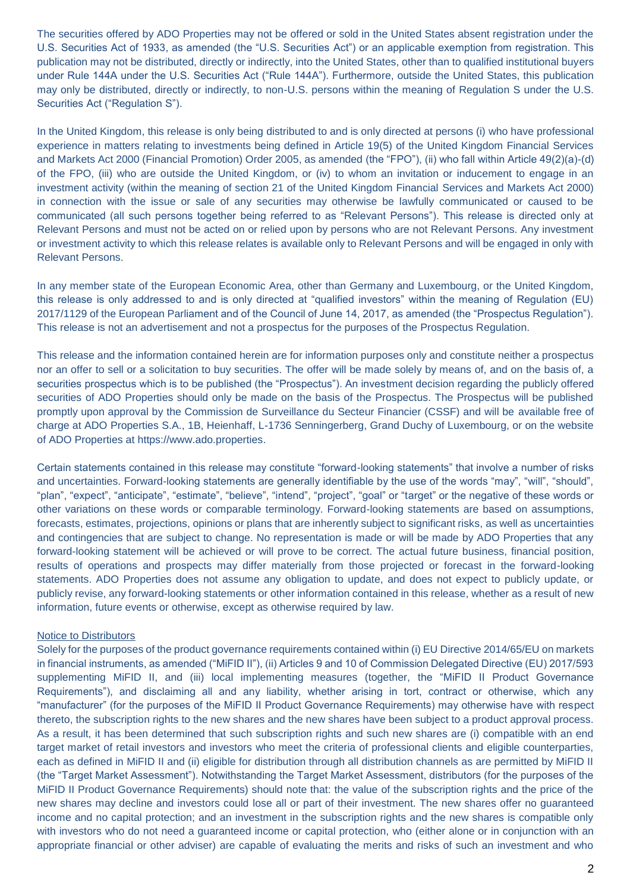The securities offered by ADO Properties may not be offered or sold in the United States absent registration under the U.S. Securities Act of 1933, as amended (the "U.S. Securities Act") or an applicable exemption from registration. This publication may not be distributed, directly or indirectly, into the United States, other than to qualified institutional buyers under Rule 144A under the U.S. Securities Act ("Rule 144A"). Furthermore, outside the United States, this publication may only be distributed, directly or indirectly, to non-U.S. persons within the meaning of Regulation S under the U.S. Securities Act ("Regulation S").

In the United Kingdom, this release is only being distributed to and is only directed at persons (i) who have professional experience in matters relating to investments being defined in Article 19(5) of the United Kingdom Financial Services and Markets Act 2000 (Financial Promotion) Order 2005, as amended (the "FPO"), (ii) who fall within Article 49(2)(a)-(d) of the FPO, (iii) who are outside the United Kingdom, or (iv) to whom an invitation or inducement to engage in an investment activity (within the meaning of section 21 of the United Kingdom Financial Services and Markets Act 2000) in connection with the issue or sale of any securities may otherwise be lawfully communicated or caused to be communicated (all such persons together being referred to as "Relevant Persons"). This release is directed only at Relevant Persons and must not be acted on or relied upon by persons who are not Relevant Persons. Any investment or investment activity to which this release relates is available only to Relevant Persons and will be engaged in only with Relevant Persons.

In any member state of the European Economic Area, other than Germany and Luxembourg, or the United Kingdom, this release is only addressed to and is only directed at "qualified investors" within the meaning of Regulation (EU) 2017/1129 of the European Parliament and of the Council of June 14, 2017, as amended (the "Prospectus Regulation"). This release is not an advertisement and not a prospectus for the purposes of the Prospectus Regulation.

This release and the information contained herein are for information purposes only and constitute neither a prospectus nor an offer to sell or a solicitation to buy securities. The offer will be made solely by means of, and on the basis of, a securities prospectus which is to be published (the "Prospectus"). An investment decision regarding the publicly offered securities of ADO Properties should only be made on the basis of the Prospectus. The Prospectus will be published promptly upon approval by the Commission de Surveillance du Secteur Financier (CSSF) and will be available free of charge at ADO Properties S.A., 1B, Heienhaff, L-1736 Senningerberg, Grand Duchy of Luxembourg, or on the website of ADO Properties at https://www.ado.properties.

Certain statements contained in this release may constitute "forward-looking statements" that involve a number of risks and uncertainties. Forward-looking statements are generally identifiable by the use of the words "may", "will", "should", "plan", "expect", "anticipate", "estimate", "believe", "intend", "project", "goal" or "target" or the negative of these words or other variations on these words or comparable terminology. Forward-looking statements are based on assumptions, forecasts, estimates, projections, opinions or plans that are inherently subject to significant risks, as well as uncertainties and contingencies that are subject to change. No representation is made or will be made by ADO Properties that any forward-looking statement will be achieved or will prove to be correct. The actual future business, financial position, results of operations and prospects may differ materially from those projected or forecast in the forward-looking statements. ADO Properties does not assume any obligation to update, and does not expect to publicly update, or publicly revise, any forward-looking statements or other information contained in this release, whether as a result of new information, future events or otherwise, except as otherwise required by law.

## Notice to Distributors

Solely for the purposes of the product governance requirements contained within (i) EU Directive 2014/65/EU on markets in financial instruments, as amended ("MiFID II"), (ii) Articles 9 and 10 of Commission Delegated Directive (EU) 2017/593 supplementing MiFID II, and (iii) local implementing measures (together, the "MiFID II Product Governance Requirements"), and disclaiming all and any liability, whether arising in tort, contract or otherwise, which any "manufacturer" (for the purposes of the MiFID II Product Governance Requirements) may otherwise have with respect thereto, the subscription rights to the new shares and the new shares have been subject to a product approval process. As a result, it has been determined that such subscription rights and such new shares are (i) compatible with an end target market of retail investors and investors who meet the criteria of professional clients and eligible counterparties, each as defined in MiFID II and (ii) eligible for distribution through all distribution channels as are permitted by MiFID II (the "Target Market Assessment"). Notwithstanding the Target Market Assessment, distributors (for the purposes of the MiFID II Product Governance Requirements) should note that: the value of the subscription rights and the price of the new shares may decline and investors could lose all or part of their investment. The new shares offer no guaranteed income and no capital protection; and an investment in the subscription rights and the new shares is compatible only with investors who do not need a guaranteed income or capital protection, who (either alone or in conjunction with an appropriate financial or other adviser) are capable of evaluating the merits and risks of such an investment and who